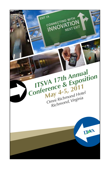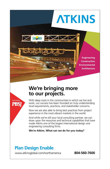## **17th Annual Conference & Exposition ITSVA ATKINS**

**Engineering Construction Environmental Architecture**

## **We're bringing more to our projects.**



With deep roots in the communities in which we live and work, our success has been founded on truly understanding local requirements, practices, and stakeholder concerns.

Now we are also able to bring best practices from project experience in the most vibrant markets in the world.

And while we're still your local consulting partner, we can draw upon the resources and technical capabilities that have made Atkins one of the largest international design and engineering consulting firms.

**We're Atkins. What can we do for you today?**

## **Plan Design Enable**

www.atkinsglobal.com/northamerica **804-560-7600**

فلأدحش حمايدهات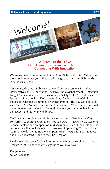**17th Annual Conference & Exposition ITSVA**



**- Connecting With Innovation -**

We are excited to be returning to the Omni Richmond Hotel. While you are here, I hope that you will take advantage of downtown Richmond's restaurants and shops.

On Wednesday, we will have a variety of exciting sessions including "Perspectives on ITS Innovation," "Active Traffic Management," "Integrated Freight Management," and "Transportation Safety." Our Special Guest Speaker at Lunch will be Delegate Joe May, Chairman of the Virginia House of Delegates Committee on Transportation. The day will conclude with the ITSVA Annual Business Meeting where ITSVA election results will be announced and a Cocktail Reception where you can mingle with your colleagues and visit with exhibitors.

On Thursday morning, we will feature sessions on "Planning the Way Forward," "Supporting Operations Through Data," "VDOT's New Customer Service Center," and an open forum discussion on Transit Technology. The conference will conclude with an overview of upcoming ITS work in the Commonwealth including the Hampton Roads TPO's efforts & initiatives and ITS work at VDOT and in the VDOT regions.

Finally, we value your feedback for future conferences so please do not hesitate to let us know of any suggestions you may have.

#### **Ken Jennings**

*ITSVA President*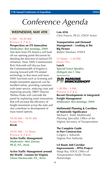

#### **Wednesday, May 4th**

### $9 AM - 10:30 AM$ POTOMAC E, F & G

**Perspectives on ITS Innovation** *Moderator: Ken Jennings, DMV* Tom Kern from ITS America will lead off our opening panel discussion by detailing the direction of national ITS initiatives. Next, DMV Commissioner Rick Holcomb will discuss how the Commonwealth of Virginia is moving forward with ITS-related technology so that more and more DMV functions such as licensing and freight movement approvals can be handled online, providing customers with faster service, reducing costs and improving security. DRPT Director Thelma Drake will conclude the panel by explaining some innovations that will increase the efficiency of freight movement across the state and also contribute to development of mass transit options.

10:30 AM – 10:45 AM **EXHIBIT HALL Break**

10:45 AM – 12 Noon POTOMAC E, F & G **Active Traffic Management** *Moderator: Moe Zarean, Ph.D, P.E., Iteris*

**Active Traffic Management around the World - Lessons for Virginia** *Glenn Havinoviski, P.E., Iteris* 

**I-66 ATM**  *Chris Francis, Ph.D., VDOT Active*

**Transportation and Demand Management – Looking at the Big Picture** *Robert Sheehan, FHWA*

12 Noon – 1:30 PM **EXHIBIT HALL** 

**Lunch** *Special Guest Speaker, Delegate Joe T. May* 





#### 1:30 PM – 3 PM

POTOMAC E, F & G **Recent Developments in Integrated Freight Management** *Moderator: Ken Jennings, DMV*

#### **Multimodal Planning & Corridors of Statewide Significance**

*Michael L. Todd, Multimodal Planning Specialist, Office of the Virginia Secretary of Transportation*

**The Complete Guide to Port Construction** *Gregory J. Edwards, Virginia Port Authority*

#### **US Route 460 Corridor Improvements – PPTA Project**

*Margi Ray, VDOT, Office of Transportation Public Private Partnerships*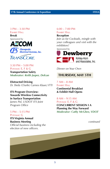#### 3 PM – 3:30 PM **EXHIBIT HALL**

**Break**

*Sponsored by*



## **TRANSCORE**

3:30 PM – 5:00 PM POTOMAC E, F & G **Transportation Safety** *Moderator: Keith Jasper, Delcan*

**Distracted Driving** *Dr. Sheila (Charlie) Garness Klauer, VTTI*

**ITS Program Overview: Towards Wireless Connectivity in Surface Transportation** *James Pol, USDOT ITS Joint Program Office*

### 5 PM – 5:15 PM

Potomac G **ITS Virginia Annual Business Meeting** *Official business including the election of new officers.*

#### $6:00 - 7:00$  PM **EXHIBIT HALL**

**Reception** 

*Join us for Cocktails, mingle with your colleagues and visit with the exhibitors!*

*Sponsored by*



*Dinner on Your Own*

### **Thursday, May 5th**

7 AM – 8 AM **EXHIBIT HALL Continental Breakfast & Exhibit Hall Opens**

8 AM – 9:15 AM Potomac E, F & G **CONCURRENT SESSION I A Planning the Way Forward** *Moderator: Cathy McGhee, VDOT*

*continued*

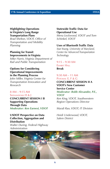#### **Highlighting Operations in Virginia's Long Range Transportation Plans**

*Brad Shelton, VDOT, Office of Transportation and Mobility Planning*

#### **Planning for Transit Improvements in Virginia**

*Mike Harris, Virginia Department of Rail and Public Transportation*

#### **Options for Considering Operational Improvements in the Planning Process**

*John Miller, Virginia Center for Transportation Innovation and Research*

#### 8 AM – 9:15 AM Shenandoah H & J

**CONCURRENT SESSION I B Supporting Operations Through Data** *Moderator: Ken Earnest, VDOT*

#### **USDOT Perspective on Data Collection, Aggregation and Distribution**

*Walter During, Federal Highway Administration*

**Statewide Traffic Data for Operational Use**

*Mena Lockwood, VDOT and Tom Schinkel, VDOT*

#### **Uses of Bluetooth Traffic Data**

*Stan Young, University of Maryland, Center for Advanced Transportation Technology*

9:15 – 9:30 AM **EXHIBIT HALL Break** 

### 9:30 AM – 11 AM

Potomac E, F & G **CONCURRENT SESSION II A VDOT's New Customer Service Center** *Moderator: Robb Alexander, P.E., VDOT Ken King, VDOT, Southwestern Region Operations Director*

*Murali Rao, VDOT, IT Division*

*Heidi Underwood, VDOT, Salem District*

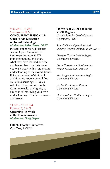#### 9:30 AM – 11 AM Shenandoah H & J

#### **CONCURRENT SESSION II B Open Forum Discussion on Transit Technology** *Moderator: Mike Harris, DRPT*

Instead, attendees will discuss several topics that relate to their experiences with ITS implementations, and share what they have learned and the challenges they face. We hope you walk away with a 'big picture' understanding of the overall transit ITS environment in Virginia. In addition, we know you will find value in discussing ITS issues with the ITS community in the Commonwealth of Virginia, as a means of improving your own understanding of the technologies and issues.

#### **ITS Work at VDOT and in the VDOT Regions**

*Connie Sorrell – Chief of System Operations, VDOT*

*Tom Phillips – Operations and Security Division Administrator, VDOT*

*Dwayne Cook – Eastern Region Operations Director* 

*Dean Gustafson – Northwestern Region Operations Director*

*Ken King – Southwestern Region Operations Director* 

*Jim Smith – Central Region Operations Director*

*Hari Sripathi – Northern Region Operations Director*

#### 11 AM – 12:30 PM Potomac E, F & G

**Upcoming ITS Work in the Commonwealth** *Moderator: Greg Pieper*

**HRTPO Efforts & Initiatives** *Rob Case, HRTPO*



**7**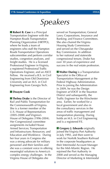## *Speakers*

**Robert B. Case** is a Principal Transportation Engineer with the Hampton Roads Transportation Planning Organization (HRTPO), where he leads a team of engineers who staff the Hampton Roads Transportation Operations subcommittee and perform corridor studies, congestion analyses, and freight studies. He is a licensed Professional Engineer in Virginia, a registered Professional Traffic Operations Engineer, and an ASCE Fellow. He received a B.S. in Civil Engineering from Old Dominion University and an M.S. in Civil Engineering from Georgia Tech.

#### **Dwayne Cook**

**Thelma Drake** is the Director of Rail and Public Transportation for the Commonwealth of Virginia. She is a former member of the U.S. House of Representatives (2005-2008) and Virginia's House of Delegates (1996-2004). Her Congressional committee assignments included House Armed Services; Transportation and Infrastructure; Resources; and Education and Workforce. During her four years in Congress she was a strong advocate for military personnel and their families and she was a constant voice in offering meaningful solutions to America's complex energy challenges. In the Virginia House of Delegates she

served on Transportation; General Laws; Corporations, Insurance and Banking; and Finance Committees. She also chaired the Virginia Housing Study Commission and served on the Chesapeake Bay Commission. In addition to her national and statewide congressional tenure, Drake has over 30 years of experience and success in the real estate profession.

**N** Walter During is a Transportation Specialist in the Office of Transportation Management at the Federal Highway Administration. Prior to joining the Administration in 2009, he was the Design Engineer at VDOT in the Staunton District and subsequently, the Traffic Engineer for the Winchester area. Earlier, he worked for a local government and also in the consultancy services in the areas of traffic management and transportation planning. During holds an M.S. in Civil Engineering and is a registered P.E.

**Example Gregory J. Edwards** originally joined the Virginia Port Authority in July 1992, and then went to work for Norfolk Southern Railroad in the corporate headquarters as their Intermodal Account Manager for the Mid-Atlantic Region. He rejoined the Port Authority in 2000 and served as the Managing Director of Marketing & Intermodal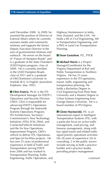until December 2008. In 2009, he assumed the position of Director of External Affairs where he currently oversees media and community relations and supports the Senior Deputy Executive Director in the area of governmental relations and outreach. He serves on the board of "Future of Hampton Roads" and is a graduate of the State Chamber's LEAD Virginia program, class of 2009. He is currently enrolled in the LEAD Hampton Roads class of 2011 and is a graduate of Old Dominion University in Norfolk (B.A. in English, Journalism Emphasis, May 1992).

**Chris Francis**, Ph.D. is the ITS Development Manager for VDOT's Operations and Security Division (OSD). Chris is responsible for advancing VDOT's Operations Program through the Statewide Systems Operations Program, ITS Architectures, Secretary/ Commissioner's New Technology Initiatives (ATM, ICM, DMA, and Connected Vehicle Initiatives) and the Six Year Operations Improvement Program, OSD's vehicle to deliver ITS, Operations, and Special Facilities projects. He has over 25 years of professional experience in field of Traffic and Transportation serving VDOT from 2006 and has worked in Transportation Planning, Traffic Engineering, Traffic Operations, and Highway Maintenance in India, New Zealand, and the USA. He holds a BS in Civil Engineering, MS in Transportation Engineering, and a PhD in Land Use Transportation Planning.

#### **Dean Gustafson**, P.E., PTOE

**Michael Harris** is a Project Manager/Coordinator for the Virginia Department of Rail and Public Transportation in Northern Virginia. He has 25 years experience in the ITS operations, transit, traffic engineering and transportation planning. He holds a Bachelors Degree in Civil Engineering from Penn State University and a Masters Degree in Urban Systems Engineering from George Mason University. He is a board member of ITS Virginia.

 **Glenn Havinoviski**, P.E. is an international expert in Intelligent Transportation Systems (ITS), with a particular focus on active traffic management, road pricing, and freeway management, along with bus rapid transit and related traffic signal priority operations activities. His 28 years of experience (26 in consulting, 2 in the public sector) include serving as both a practice builder and a practice leader, providing project management

*continued*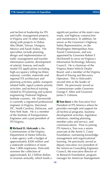and technical leadership for ITS and traffic management projects in Virginia and 16 other states, along with projects in Dubai, Abu Dhabi, Taiwan, Hungary, Mexico and Saudi Arabia. His specialties include planning, design and implementation of traffic management and traveler information systems; development of arterial, freeway and multimodal ITS applications including high-occupancy tolling facilities; national, corridor, statewide and regional ITS architecture and planning activities; public transportrelated traffic signal systems priority activities; and technical training related to ITS planning and systems engineering (National Highway Institute courses). Mr. Havinoviski is currently a registered professional engineer in Virginia, Maryland, DC, North Carolina, Delaware, and New York State. He is a member of the Institute of Transportation Engineers and a past president of ITS Virginia.

**Richard D. Holcomb** is the Commissioner of the Virginia Department of Motor Vehicles, a state agency with a budget of approximately \$200 million and a statewide workforce of more than 1,800 employees. Holcomb oversees the collection of approximately \$2.2 billion dollars in revenue annually, which funds a significant portion of the state's new roads, and highway construction and maintenance. In addition, he serves as the Governor's Highway Safety Representative, on the Washington Metropolitan Area Transit Commission, and was appointed by Governor Robert F. McDonnell to serve on Virginia's Information Technology Advisory Council. He is chairman of the Virginia Motor Vehicle Dealer Board, and a member of the Virginia Board of Towing and Recovery Operators. This is Holcomb's second stint as the leader of DMV. He previously served as Commissioner under Governor George F. Allen and Governor James S. Gilmore.

**Tom Kern** is the Executive Vice President of ITS America where he provides oversight and support for all technical programs, business development activities, legislative initiatives, meeting planning, member sales and service, and communications. Prior to joining ITS America, Tom was a senior associate at the Annie E. Casey Foundation, overseeing knowledge management and organizational learning. He previously served as deputy executive vice president of the American Consulting Engineers Council, the executive director of its Research Foundation, program manager for American Management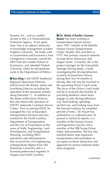Systems, Inc., and as a public servant in the U.S. Environmental Protection Agency. In his spare time, Tom is an adjunct instructor in knowledge management at Johns Hopkins University. He holds a BA in Government and Economics from Georgetown University, earned his MPA from the London School of Economics, and attended Oxford University where he did graduate work in the Department of Politics.

**Ken King** is the VDOT Southwest Regional Operations Director, which serves the Bristol, Salem and Lynchburg Districts including the operation of the mountain tunnels along Interstate 77. In addition to the duties within these Districts, Ken also directs the operation of VDOT's statewide Customer Service Center. Prior to joining VDOT, he managed the City of Roanoke's Transportation Division and also worked for the North Carolina Department of Transportation and the City of Greensboro in the areas of Traffic Engineering, Land Development, and Transportation Planning, including MPO operations and administration. Ken received his civil engineering undergraduate degree from Old Dominion University and is a licensed professional engineer in Virginia and North Carolina.

**Dr. Sheila (Charlie) Garness Klauer** has been working in transportation human factors since 1997, initially at the Battelle Human Factors Transportation Center (Seattle, WA) and then at VTTI. Her primary research interests include driver distraction and fatigue issues. Currently, she is the project manager for the Naturalistic Teenage Driving Study; a study investigating the driving behaviors of newly licensed teen drivers during their first 18 months of driving. She will also be involved in the upcoming Driver Coach study. The focus of the Driver Coach study will be to evaluate the benefits of providing feedback when teens engage in risky driving behaviors (e.g. hard braking, speeding, alcohol use, and looking away from the forward roadway for extended periods of time.) Dr. Klauer has authored or co–authored over 30 journal or technical reports, is a member of the Human Factors and Ergonomics Society and a member of the TRB Young Driver Safety Subcommittee. She has also testified before state legislative transportation subcommittees as an expert on driver distraction and appeared on several national media news programs.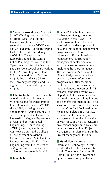**Mena Lockwood**, is an Assistant State Traffic Engineer responsible for Traffic Data, Analysis and Engineering Studies. In the 15 years she has spent at VDOT, she has worked at the Northern Virginia District, the Fairfax Residency, the Virginia Transportation Research Council, the Central Office Planning Division, and the Operations and Security Division. She also spent several years working for KCM Consulting in Portland OR. Lockwood has a BSCE from Virginia Tech and a MSCE from the University of Virginia and is a registered Professional Engineer in Virginia.

**I John Miller** has been a research scientist with what is now the Virginia Center for Transportation Innovation and Research (VCTIR), since 1994, focusing on safety and planning. At present, he also serves as adjunct faculty with the University of Virginia Department of Civil and Environmental Engineering. Prior to joining VCTIR, John taught with the U.S. Peace Corps at the Collège d'Enseignement de Mandji, Gabon. He has a B.S. in Electrical Engineering and a Ph.D. in Civil Engineering from the University of Virginia, and he is a licensed professional engineer in Virginia.

**I** James Pol is the Team Leader for Program Management and Evaluation in the USDOT ITS Joint Program Office. He was involved in the development of data and information management programs such as traveler information/511, archived data management, transportation management center operations, and road weather management (including the Clarus Initiative). The Government Accountability Office cited James as a national expert in traveler information programs in a 2010 report on the topic. Pol now oversees the independent evaluation of all ITS research conducted by the U.S. Department of Transportation to ensure the greatest validity in costs and benefits information on ITS for stakeholders worldwide. He has a bachelor's in Civil Engineering from Rensselaer Polytechnic Institute, a master's in Computer Systems Management from the University of Maryland, and he is a registered professional engineer in Delaware. James is also a certified Project Management Professional from the Project Management Institute.

**Murali Rao** is currently the Information Technology Director for VDOT where he is responsible for all IT functions, including IT Administration and Governance, Systems Engineering, Software

 **Tom Phillips**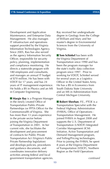Development and Application Maintenance, and Enterprise Data Management. He also manages IT infrastructure and operations support provided by the Virginia Information Technologies Agency. Since 2005, Rao has also served as the agency Information Security Officer, responsible for security policy, planning, implementation and compliance monitoring. He directs a statewide program with 180 employees and consultants, and manages an annual IT budget of \$70 million. He has been with VDOT for 17 years, and has 24 years of IT management experience. He holds a BS in Physics and an MS in Computer Engineering.

**Margie Ray** is a Program Manager in the newly created Office of Transportation Public-Private Partnerships (or PPTA Office) for the Commonwealth of Virginia. She has more than 13 years experience in the private sector before joining the Virginia Department of Transportation in 2001. In her current role, she facilitates the development and procurement of contracts for Public Private Transportation Act (Virginia's Public Private Partnership legislation) and develops policies, procedures and guidance documents, and coordinates innovative delivery activities among federal and local government transportation agencies.

Ray received her undergraduate degree in Geology from the College of William and Mary and her master's degree in Environmental Sciences from the University of Virginia.

**Tom Schinkel** has been with the Virginia Department of Transportation since 1990 and has been the program manager for the state's traffic data collection program since 1997. Prior to working for VDOT, Schinkel served for several years as a Logistics Officer in the United States Army. He has a BS in Economics from South Dakota State University and an MS in Administration from Central Michigan University.

**Robert Sheehan**, P.E., PTOE is a Transportation Specialist with the Federal Highway Administration (FHWA), Office of Operations - Transportation Management. He joined FHWA in August 2008 and supports the U.S. Department of Transportation (USDOT) Integrated Corridor Management (ICM) Initiative, Active Transportation and Demand Management program, and Tolling/Pricing technologies. Prior to joining the FHWA, he spent 8 years at the Virginia Department of Transportation (VDOT), Northern Region as the Field Operations

*continued*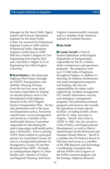Manager for the Smart Traffic Signal System and Freeway Operations Engineer for the Smart Traffic Center. He received his Professional Engineer license in 2004 and his Professional Traffic Operations Engineer certification in 2008. Bob has a Master's Degree in Civil Engineering from Virginia Tech and a Bachelor's Degree in Civil Engineering from West Virginia University.

**Brad Shelton** is the Statewide Highway Plan Project Manager for VDOT's Transportation and Mobility Planning Division. Over the last four years, Brad has been responsible for leading an interdisciplinary team in the development of the highway element of the 2035 Virginia Surface Transportation Plan. He has also performed work in the areas of transportation policy, functional classification, access management and served as a member of the Multimodal Advisory Committee responsible for developing the state's long-range multimodal policy plan, VTrans2035. Prior to joining VDOT, Brad worked as a principal planner for Goochland County, VA and as a transportation planner for Montgomery County, PA and the Richmond Area MPO. He holds an undergraduate degree in Urban Studies and a Master's of Urban and Regional Planning, both from

Virginia Commonwealth University and is a member of the American Institute of Certified Planners.

#### **Jim Smith**

**Connie Sorrell** is Chief of System Operations at the Virginia Department of Transportation, responsible for the \$1.2 billion dollar maintenance and operations programs. The programs cover over 57,000 miles of highways throughout Virginia. In addition to directing all roadway maintenance and asset management programs and funding, she also has responsibilities for safety, traffic engineering, incident management, ITS, traveler information, security and emergency management programs. The performance-based programs and services also include the operations of many special facilities, including tunnels, ferries and the 41 safety rest stops in Virginia. Sorrell, who came to VDOT in 1982, has also served as Chief of Policy and Organizational Development, as well as District Administrator for the Richmond and Hampton Roads Districts. Sorrell is a member the ITS America Board of Directors and serves as a member of the TRB Research and Technology Coordinating Committee that advises FHWA and Congress on the FHWA research program and the Strategic Highway Research

**14 15**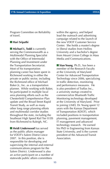Program Committee on Reliability of travel.

#### **Hari Sripathi**

**Michael L. Todd** is currently serving the Commonwealth as a Multimodal Planning Specialist with the Office of Intermodal Planning and Investment under the Transportation Secretariat. Most of his transportation planning career has been spent in Richmond working in either the private or public sector, including the Richmond office of Michael Baker Jr., Inc. as a transportation planner. While working with Baker, he participated in multiple local area planning efforts such as the Chesterfield Comprehensive Plan update and the Broad Street Rapid Transit Study, as well as many other long range planning efforts and multimodal corridor studies throughout the state, including the Southeast High Speed Rail Tier II EIS from Richmond to Raleigh, NC.

**Heidi Underwood** has served as the public affairs manager for VDOT's Salem District since 2007. In this position, she is responsible for developing and supervising the internal and external communications program for the Salem District. Underwood is also an active participant on a number of statewide public affairs committees

within the agency, and helped lead the outreach and advertising campaign related to the launch of the new VDOT Customer Service Center. She holds a master's degree in liberal studies from Hollins University and a bachelor's degree from Mount Union College in Mass Media and Communications.

**Stan Young**, Ph.D., has been a member of the Research Faculty at the University of Maryland Center for Advanced Transportation Technology since 2006, specializing in traffic detection, monitoring and performance measures. He is also president of Traffax Inc., a university startup created to commercialize Bluetooth Traffic Monitoring technology developed at the University of Maryland. Prior to joining UMD, Dr. Young spent 12 years with the Kansas Department of Transportation (KDOT), which included positions in transportation planning, pavement management, IT management and advanced technology research. He earned his PhD in Engineering from Kansas State University, and is the current president of the Advanced Transit Association.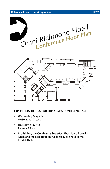#### **17th Annual Conference & Exposition ITSVA**



- Wednesday, May 4th **10:30 a.m. - 7 p.m.**
	- **• Thursday, May 5th 7 a.m. - 10 a.m.**
	- **• In addition, the Continental breakfast Thursday, all breaks, lunch and the reception on Wednesday are held in the Exhibit Hall.**

#### **17**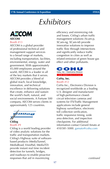## *Exhibitors*

## AECOM **AECOM**

#### Booth #13

AECOM is a global provider of professional technical and management support services to a broad range of markets, including transportation, facilities, environmental, energy, water and government. With approximately 45,000 employees around the world, AECOM is a leader in all of the key markets that it serves. AECOM provides a blend of global reach, local knowledge, innovation, and technical excellence in delivering solutions that create, enhance and sustain the world's built, natural, and social environments. A Fortune 500 company, AECOM serves clients in approximately 125 countries.



**Citilog** Booth #9

Citilog is a world leading provider of video analytic solutions for the traffic and transportation markets. Citilog's Highway suite of softwarebased products (MediaTunnel, MediaRoad, VisioPad, MediaTD) provide instant real time incident detection for tunnels, bridges, and roadways to enable proactive responses that aid in maximizing

efficiency and minimizing risk and losses. Citilog's urban traffic management solutions (Xcam-p, XCam-ng, XCam-td) provide innovative solutions to improve traffic flow through intersections and significantly reduce traffic congestion in cities as well as related emission of green house gas effect and other pollutants.

#### CO Cohu, Inc. / Electronics Division ISO 9001 Certified

#### **CoHu, Inc.** Booth #12

CoHu Inc., Electronics Division is recognized worldwide as a leading U.S. designer and manufacturer of high-performance closedcircuit television cameras and systems for ITS/Traffic Management applications include general highway surveillance, electronic toll collection verification, traffic responsive timing, wide area detection, and inspection checkpoints. For additional information contact Gerard Amato at 410/381-5000. gamato@cohu.com

*continued*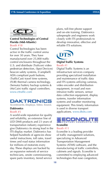

#### **Control Technologies of Central Florida (Mid-Atlantic)** Booth #18

Control Technologies has been active in the traffic control arena for over 30 years. They have manufactured over 25,000 traffic control enclosures throughout the U.S. and distribute (Traficon) video pedestrian detection, (Spot Devices) beacon safety systems, (Campbell) ADA compliant push buttons, (TrafficCast) travel time systems, (FLIR) thermal camera technology, (Sensata) battery backup systems & (McCain) traffic signal controllers. www.cttraffic.com

## **DAKTRONIC!**

Scoreboards, Displays, Video, Sound,

### **Daktronics**

#### Booth #5

A world-wide reputation for quality and reliability, an extensive line of LED DMS products and 23 years of transportation industry experience give Daktronics its strong lead in the ITS display market. Daktronics has helped hundreds of agencies show useful instructions, toll rates, travel times and road status information for millions of motorists every day. These displays are backed by an expansive network of service technicians, onsite commissioning, spare parts inventory, tiered service

plans, toll-free phone support and on-site training. Daktronics salespeople and engineers work closely with ITS professionals to develop innovative, effective and reliable ITS solutions.

# DT:

#### **Digital Traffic Systems** Booth #1

Digital Traffic Systems is an infrastructure services company providing specialized installation and maintenance of traffic data and ITS systems utilizing cameras, video encoder and distribution equipment, in-road and nonintrusive traffic sensors, sensor data collection equipment, display systems, traveler information systems and weather monitoring equipment. This timely information is used in diverse transport applications. www.dtsits.com



#### **Econolite** Booth #11

Econolite is a leading provider of traffic management solutions, specializing in Advanced Transportation Management Systems (ATMS) software, and the manufacturing of traffic controllers, cabinets and signals. Econolite is committed to employing advanced technologies that ease congestion,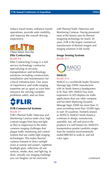reduce travel times, enhance transit operations, provide safer mobility, and improve the overall driving experience.



A Better Solution. Every Day.

#### **Elite Contracting** Booth #4

Elite Contracting Group is a fullservice technology contractor specializing in security, transportation and technology solutions including construction, installation and maintenance for critical infrastructure. Our years of experience and wide-ranging expertise set us apart as your best resource for solving complex problems safely and on time.



#### **FLIR Commercial Systems** Booth #7

FLIR's Thermal Traffic Detection and Monitoring Cameras make clear, high contrast images from heat not light, so they're impervious to the entire common imaging challenges that plague traffic monitoring and control systems that use visible light imaging technologies. This makes thermal cameras immune to direct sunlight (even at sunrise and sunset!), nighttime headlight glare, reflections off wet surfaces, smoke, dust, and light fog. In short, virtually any imaging challenge you can imagine can be overcome

with Thermal Traffic Detection and Monitoring Cameras. Having pioneered most of the known uses for thermal imagining technology for nearly 50 years, FLIR is the largest commercial manufacturer of thermal imagers and imaging solutions in the world.

#### **Image Sensing Systems** Booth #15



#### **IMAGO** Booth #14

IMAGO is a worldwide leader Dynamic Message Sign (DMS) manufacturer with its North America headquarters in St. Paul, MN. IMAGO has more experience in LED displays for traffic applications than any other company and has been deploying Dynamic Message Signs (DMS) for more than 25 years exceeding more than 10,000 signs in over 20 countries. Formerly known as ADDCO, IMAGO North America continues to design, manufacture, assemble, test, sell and service the products it is well known for. IMAGO's transportation product portfolio ranges from the modular environmentally sealed BRICK® to walk-in, and full color signs.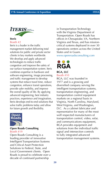



#### **Iteris** Booth #2

Iteris is a leader in the traffic management market delivering total solutions for public and private sector clients in key markets worldwide. We develop and apply advanced technologies to reduce traffic congestion and improve the safety of our surface transportation system. Iteris combines expertise in hardware and software engineering, image processing, and traffic management to develop systems that reduce travel time, reduce congestion, enhance transit operations, provide safer mobility, and improve the overall quality of life. By applying advanced engineering, best industry practices, experience and imagination, Iteris develops end-to-end solutions that solve traffic problems today and allow for future growth and flexibility.



#### **Open Roads Consulting** Booth #19

Open Roads Consulting is a leading provider of innovative Intelligent Transportation Systems and Critical Asset Protection Solutions to Federal, State, and Local Government clients. Open Roads is proud to celebrate over a decade of continued partnership

in Transportation Technology with the Virginia Department of Transportation. Open Roads has offices in Chesapeake, VA, Northern Virginia and Texas, and has missioncritical systems deployed in over 30 operations centers across the United States and in Guam.

www.openroadsconsulting.com



#### **RGA, LLC** Booth #10

RGA, LLC was founded in 1977 and is a growing and diversified company serving the intelligent transportation systems, transportation engineering, and transportation control equipment markets on a regional basis in Virginia, North Carolina, Maryland, West Virginia, and Washington, D.C. As a cabinet fabricator and representative for many of the most well respected manufacturers of transportation control, video, solar, and communications equipment, RGA provides equipment and solutions from the individual traffic signal and intersection controls to fully integrated advanced transportation management systems.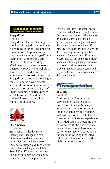

### **RuggedCom**

Booth #17

RuggedCom, Inc. is a leading provider of rugged communications networking solutions designed for mission-critical applications in harsh environments. RuggedCom's technology solutions include Ethernet switches including VDSL, network routers, wireless devices (WiMAX, Wi-Fi, cellular), serial servers, media converters, software and professional services. RuggedCom's products are designed for use in harsh environments such as those found in intelligent transportation systems (ITS), Traffic Signal systems, electrical power substations and "Smart Grids", industrial process control and military applications.



#### **SES America** Booth #8

SES America is a leader in the ITS industry and is recognized as a pioneer for the design, manufacturing, installation, and maintenance of Dynamic Message Signs, Lane Control Signs, Blank-Out Signs, and DMS Retrofit Kits. SES America continues to exceed customer expectations by adhering to three core principles:

Provide First Class Customer Service, Provide Quality Products, and Provide Continuous Innovation. SES America's products feature state-of-the art technology and are engineered to meet the highest industry standards. SES America's products are also known for their durability, longevity, reliability, and ease of maintenance. SES America focuses exclusively on the ITS industry and are continually finding innovative solutions to help solve the critical problems faced by state, county, and city departments of transportation across the United States.



### **TES, Inc.** Booth #6

Transportation Equipment & Services Inc., (TES), is a local distributor of products designed to make transportation systems safer, cost effective and reliable. With over 20 years of Intelligent Transportation Systems experience, TES is dedicated to providing their customers with the finest quality products and the highest level of customer service. We strive to be the leader in offering innovative solutions to transportation and highway industry needs.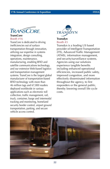

**TransCore** Booth #16

TransCore is dedicated to driving inefficiencies out of surface transportation through innovation, utilizing our expertise in systems integration, design consulting, operations, maintenance, manufacturing, enabling RFID and satellite communications technology, and our extensive Web-based logistics and transportation management systems. TransCore is the largest global manufacturer of transportation-based RFID technology with more than 46 million tags and 67,000 readers deployed worldwide in various applications such as electronic toll collection, traffic management, rail, truck, container, barge and intermodal tracking and monitoring, homeland security border control, airport ground transportation, parking, and secure vehicle access control.



#### **Transdyn** Booth #3

Transdyn is a leading US based provider of Intelligent Transportation (ITS), Advanced Traffic Management (ATMS), information management, and security/surveillance systems. Agencies using our solutions experience tangible benefits including enhanced operational efficiencies, increased public safety, improved congestion, and more effectively disseminated information throughout the agency, to first responders or the general public, thereby lowering overall life cycle costs.

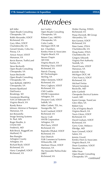## *Attendees*

Jeff Adler Open Roads Consulting Chesapeake, VA Robb Alexander, VDOT Richmond, VA Gary Allen, VDOT Charlottesville, VA Gerard Amato, Cohu Inc. Poway, CA Anwar Ansari, VDOT Manassas, VA Kevin Barron, TrafficLand Fairfax, VA Steve Beckwith Open Roads Consulting Chesapeake, VA Susan Beckwith Open Roads Consulting Chesapeake, VA Sam Belfield, HRTPO Chesapeake, VA Koreen Bjorklund **DakTronics** Brookings, SD Georjeane Blumling AAA of Tidewater VA Virginia Beach, VA Randy Boice Johnson, Mirmiran & Thompson Manassas, VA Jon Bonanella Image Sensing Systems St. Paul, MN Roger Boothe, Jr. CH2M Hill Frederick, MD Rob Brock, RuggedCom Maitland, FL Bee Buergler Arlington County Arlington, VA Richard Bush, VDOT Richmond, VA Harry Campbell, VDOT Richmond, VA

Joe Cardyn Open Roads Consulting Chesapeake, VA Robert Case, HRTPO Chesapeake, VA Colin Castle, Michigan DOT, MI Jon Chambers Kimley-Horn & Associates Virginia Beach, VA Steven Chapin AECOM Virginia Beach, VA Wenling Chen, VDOT Richmond, VA Patrick Chuang KCI Technologies Sterling, VA Mike Clements, VDOT Richmond, VA Perry Cogburn, VDOT Richmond, VA Cliff Conklin HNTB Corporation Arlington, VA Dwayne Cook, VDOT Suffolk, VA Mike Corbett, TES, Inc. Youngsville, NC Scott Cowherd, VDOT Richmond, VA Stacey Craft HNTB Corporation Arlington, VA Phil Davis, VDOT Richmond, VA Rajendra Dhakal, VDOT Richmond, VA Dan Dietrich FLIR Commercial Systems Wilsonville, OR Marlowe Dixon, VDOT Manassas, VA The Honorable Thelma Drake DRPT Richmond, VA

Walter During, FHWA Richmond, VA Pooja Dwivedi, IBI Group Alexandria, VA Ken Earnest, VDOT Richmond, VA Peter Easter, ITSVA Charlottesville, VA Doug Easter, ITSVA Charlottesville, VA Gregory Edwards Virginia Port Authority Norfolk, VA David Evans, VDOT Manassas, VA Jennifer Foley Michigan DOT, MI Chris Francis, VDOT Richmond, VA Michael Freitas Telvent Farradyne Rockville, MD John Garfield Chesapeake Electrical Systems Laurel, MD Karen George, TransCore Glen Allen, VA Robert Gey City of Virginia Beach Virginia Beach, VA Travis Glenn, VDOT Richmond, VA David Graham, VDOT Richmond, VA Gerry Grier, Midasco Elkridge, MD Sean Grinnell, VDOT Salem, VA Jeremy Gruzd, Kimley-Horn & Associates Virginia Beach, VA Dean Gustafson, VDOT Staunton, VA Mike Haas Open Roads Consulting Chesapeake, VA *continued*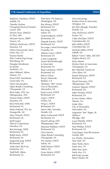#### **17th Annual Conference & Exposition ITSVA**

Stephany Hanshaw, VDOT Suffolk, VA Timothy Harlow Chesapeake Electrical Systems Laurel, MD Dorian Haro, IMAGO St. Paul, MN Michael Harris, DRPT Vienna, VA William Hartmann, VDOT Staunton, VA Glenn Havinoviski, Iteris Santa Ana, CA Forrest Heinle Elite Contracting Group Petersburg, VA Douglas Henderson Econolite Anaheim, CA John Hibbard, Atkins Atlanta, GA David Hill, FreeAhead Great Falls, VA Hiren Hiranandani Open Roads Consulting Chesapeake, VA Rich Hoke, DTS, Inc. Albuquerque, NM Vernon Hoke, VDOT Staunton, VA Rick Holcomb, DMV Richmond, VA Mark Holland, TES, Inc. Youngsville, NC Mary Howell, ITSVA Richmond, VA Keith Jasper Delcan Corporation Herndon, VA Ken Jennings, DMV Richmond, VA Ralph Jones, VDOT Richmond, VA Jungwook Jung, VDOT Richmond, VA Andy Keel, RGA Inc. Powhatan, VA Todd Kell, Atkins Richmond, VA

Tom Kern, ITS America Washington, DC Ray Khoury, VDOT Richmond, VA Ken King, VDOT Salem, VA Scott Knobloch, VDOT Richmond, VA Deepak Koirala, VDOT Richmond, VA Jim Lampe, Control Technologies Chantilly, VA Melissa Lance, VDOT Richmond, VA Carrie Langelotti Austin Brockenbrough & Associates Richmond, VA Rose Lawhorne, VDOT Richmond, VA Bob Le Sueur Sensys Networks Berkley, CA Abraham "Abi" Lerner City of Alexandria Alexandria, VA Paula Lewis, VDOT Richmond, VA Ling Li, VDOT Fairfax, VA Ning Li, VDOT Richmond, VA Steve Little, Transdyn Duluth, GA Mena Lockwood, VDOT Richmond, VA David Ludwig, DTS Albuquerque, NM Mansour Mahban, VDOT Richmond, VA Chris Marois Open Roads Consulting Chesapeake, VA Tim Martin, VDOT Salem, VA Todd Martin, VDOT Salem, VA Gene Martin, VDOT Richmond, VA

Nick Mazzenga Kimley-Horn & Associates Arlington, VA Jim McCullough, Transdyn Duluth, GA Amy McElwain, VDOT Fairfax, VA Cathy McGhee, VDOT Charlottesville, VA John Miller, VDOT Charlottesville, VA Michael Miller, VDOT Suffolk, VA Robert "Chris" Mills, AECOM Virginia Beach, VA Steve Minett Kimley-Horn & Associates Chesapeake, VA Bev Mitchell, TransCore Glen Allen, VA Kamal Munawar, VDOT Richmond, VA David Newman, DTS Albuquerque, NM Vanloan Nguyen, VDOT Richmond, VA Mike Nichols, VDOT Richmond, VA Jo Ann Oerter, Atkins Atlanta, GA Gabe Ortiz City of Alexandria Alexandria, VA Augustine "Joe" Pagan, III Midasco Elkridge, MD Laura Petrella, VDOT Richmond, VA Tom Phillips, VDOT Richmond, VA Greg Pieper, SmarTek Systems Arnold, MD Lev Pinelis, Transurban New York, NY Marc Porter, Iteris Santa Ana, CA Mike Post, Iteris Santa Ana, CA Jeff Purdy, Jacobs West Chester, PA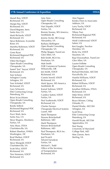#### **17th Annual Conference & Exposition ITSVA**

Murali Rao, VDOT Richmond, VA Margie Ray, VDOT Richmond, VA David Register, Iteris Santa Ana, CA Mark Richards, VDOT Richmond, VA Steve Robinson, Econolite Riner, VA Maretha Robinson, VDOT Richmond, VA Greta Ryan Richmond Regional PDC Richmond, VA Viktor Rychagov Open Roads Consulting Chesapeake, VA Saeed "Jon" Sayyar, VDOT Richmond, VA Tom Scherer Arlington County Arlington, VA Tom Schinkel, VDOT Richmond, VA Gary Schworm Elite Contracting Group Petersburg, VA Brian Sciacchitano Open Roads Consulting Chesapeake, VA Randy Selleck Richmond Regional PDC Richmond, VA Purvi Shah, Iteris Santa Ana, CA Steve Shapiro, Dewberry Fairfax, VA Amy Shaw, ITSVA Charlottesville, VA Robert Sheehan, FHWA Washington, DC Brad Shelton, VDOT Richmond, VA Steve Shergold, VDOT Charlottesville, VA Scott Silva, VDOT Richmond, VA Tien Simmons, VDOT Richmond, VA

Amy Sims Open Roads Consulting Chesapeake, VA Hari Sirpathi, VDOT Fairfax, VA Ronnie Sissney, SES America Smithfield, RI Jeremy Siviter, IBI Group Alexandria, VA Barbara Skiffington Open Roads Consulting Chesapeake, VA Philip Skipper, TransCore Glen Allen, VA Bob Smith, RGA Inc. Powhatan, VA Matt Smith FLIR Commercial Systems Wilsonville, OR Jim Smith, VDOT Richmond, VA Connie Sorrell, VDOT Richmond, VA Mark Spyres, SES America Smithfield, RI Kamal Suliman, VDOT Fairfax, VA Candice Sutton, VDOT Fairfax, VA Paul Szatkowski, VDOT Richmond, VA Charles Tamayo Chesapeake Electrical Systems Laurel, MD Mark Thompson Parsons Brinckerhoff Baltimore, MD Mark Thompson Parsons Brinckerhoff Baltimore, MD Paul Thompson, RGA Inc. Powhatan, VA Joel Ticatch Telvent Farradyne Fairfax, VA Michael L. Todd Office of the Secretary of Transportation Richmond, VA

Alan Toppen Kimley-Horn & Associates Ashburn, VA Larry Trachy, VDOT Richmond, VA Tiffany Tran Richmond Regional PDC Richmond, VA Heidi Underwood, VDOT Salem, VA Ken Vaughn, Trevilon Herndon, VA Ricky Via, VDOT Staunton, VA Raja Viswanathan, TransCore Glen Allen, VA Lauren Vollette Open Roads Consulting Chesapeake, VA Richard Wechsler, AECOM Purcellville, VA Hamlin Williams, VDOT Richmond, VA Robert Williams, VDOT Richmond, VA Jonathan Williams, ITSVA Richmond, VA Mike Winn, VDOT Richmond, VA Bruce Winner, Citilog Orlando, FL Daniel Worke, AECOM Arlington, VA Scott Wray Elite Contracting Group Petersburg, VA Harold Wyatt, AECOM Appomattox, VA Stan Young University of Maryland College Park, MD Moe Zarean, Iteris Sterling, VA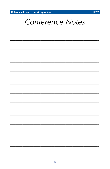17th Annual Conference & Exposition



# **Conference Notes**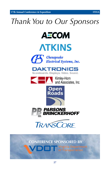# *Thank You to Our Sponsors*











Kimley-Horn and Associates, Inc.







### **Conference Sponsored by**

**DELT** Virginia Department